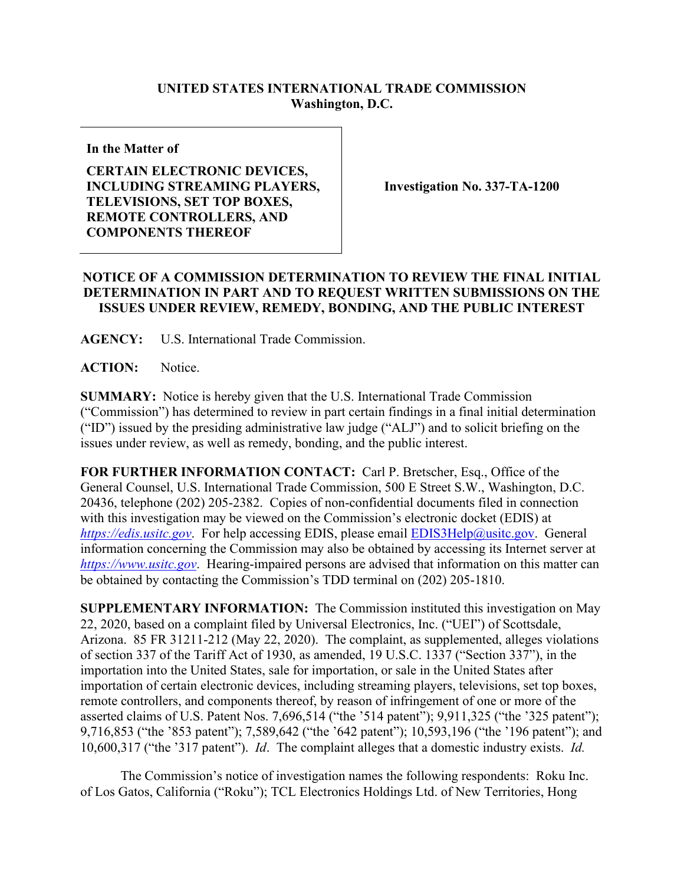## **UNITED STATES INTERNATIONAL TRADE COMMISSION Washington, D.C.**

**In the Matter of**

## **CERTAIN ELECTRONIC DEVICES, INCLUDING STREAMING PLAYERS, TELEVISIONS, SET TOP BOXES, REMOTE CONTROLLERS, AND COMPONENTS THEREOF**

**Investigation No. 337-TA-1200**

## **NOTICE OF A COMMISSION DETERMINATION TO REVIEW THE FINAL INITIAL DETERMINATION IN PART AND TO REQUEST WRITTEN SUBMISSIONS ON THE ISSUES UNDER REVIEW, REMEDY, BONDING, AND THE PUBLIC INTEREST**

**AGENCY:** U.S. International Trade Commission.

**ACTION:** Notice.

**SUMMARY:** Notice is hereby given that the U.S. International Trade Commission ("Commission") has determined to review in part certain findings in a final initial determination ("ID") issued by the presiding administrative law judge ("ALJ") and to solicit briefing on the issues under review, as well as remedy, bonding, and the public interest.

**FOR FURTHER INFORMATION CONTACT:** Carl P. Bretscher, Esq., Office of the General Counsel, U.S. International Trade Commission, 500 E Street S.W., Washington, D.C. 20436, telephone (202) 205-2382. Copies of non-confidential documents filed in connection with this investigation may be viewed on the Commission's electronic docket (EDIS) at *[https://edis.usitc.gov](https://edis.usitc.gov/).* For help accessing EDIS, please email [EDIS3Help@usitc.gov.](mailto:EDIS3Help@usitc.gov) General information concerning the Commission may also be obtained by accessing its Internet server at *[https://www.usitc.gov](https://www.usitc.gov/)*. Hearing-impaired persons are advised that information on this matter can be obtained by contacting the Commission's TDD terminal on (202) 205-1810.

**SUPPLEMENTARY INFORMATION:** The Commission instituted this investigation on May 22, 2020, based on a complaint filed by Universal Electronics, Inc. ("UEI") of Scottsdale, Arizona. 85 FR 31211-212 (May 22, 2020). The complaint, as supplemented, alleges violations of section 337 of the Tariff Act of 1930, as amended, 19 U.S.C. 1337 ("Section 337"), in the importation into the United States, sale for importation, or sale in the United States after importation of certain electronic devices, including streaming players, televisions, set top boxes, remote controllers, and components thereof, by reason of infringement of one or more of the asserted claims of U.S. Patent Nos. 7,696,514 ("the '514 patent"); 9,911,325 ("the '325 patent"); 9,716,853 ("the '853 patent"); 7,589,642 ("the '642 patent"); 10,593,196 ("the '196 patent"); and 10,600,317 ("the '317 patent"). *Id*. The complaint alleges that a domestic industry exists. *Id.*

The Commission's notice of investigation names the following respondents: Roku Inc. of Los Gatos, California ("Roku"); TCL Electronics Holdings Ltd. of New Territories, Hong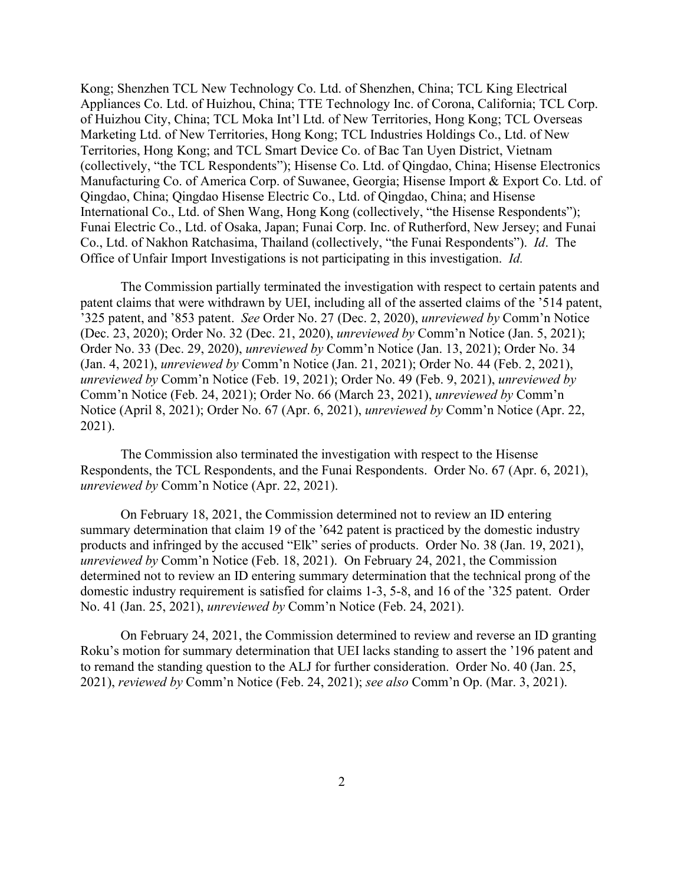Kong; Shenzhen TCL New Technology Co. Ltd. of Shenzhen, China; TCL King Electrical Appliances Co. Ltd. of Huizhou, China; TTE Technology Inc. of Corona, California; TCL Corp. of Huizhou City, China; TCL Moka Int'l Ltd. of New Territories, Hong Kong; TCL Overseas Marketing Ltd. of New Territories, Hong Kong; TCL Industries Holdings Co., Ltd. of New Territories, Hong Kong; and TCL Smart Device Co. of Bac Tan Uyen District, Vietnam (collectively, "the TCL Respondents"); Hisense Co. Ltd. of Qingdao, China; Hisense Electronics Manufacturing Co. of America Corp. of Suwanee, Georgia; Hisense Import & Export Co. Ltd. of Qingdao, China; Qingdao Hisense Electric Co., Ltd. of Qingdao, China; and Hisense International Co., Ltd. of Shen Wang, Hong Kong (collectively, "the Hisense Respondents"); Funai Electric Co., Ltd. of Osaka, Japan; Funai Corp. Inc. of Rutherford, New Jersey; and Funai Co., Ltd. of Nakhon Ratchasima, Thailand (collectively, "the Funai Respondents"). *Id*. The Office of Unfair Import Investigations is not participating in this investigation. *Id.*

The Commission partially terminated the investigation with respect to certain patents and patent claims that were withdrawn by UEI, including all of the asserted claims of the '514 patent, '325 patent, and '853 patent. *See* Order No. 27 (Dec. 2, 2020), *unreviewed by* Comm'n Notice (Dec. 23, 2020); Order No. 32 (Dec. 21, 2020), *unreviewed by* Comm'n Notice (Jan. 5, 2021); Order No. 33 (Dec. 29, 2020), *unreviewed by* Comm'n Notice (Jan. 13, 2021); Order No. 34 (Jan. 4, 2021), *unreviewed by* Comm'n Notice (Jan. 21, 2021); Order No. 44 (Feb. 2, 2021), *unreviewed by* Comm'n Notice (Feb. 19, 2021); Order No. 49 (Feb. 9, 2021), *unreviewed by*  Comm'n Notice (Feb. 24, 2021); Order No. 66 (March 23, 2021), *unreviewed by* Comm'n Notice (April 8, 2021); Order No. 67 (Apr. 6, 2021), *unreviewed by* Comm'n Notice (Apr. 22, 2021).

The Commission also terminated the investigation with respect to the Hisense Respondents, the TCL Respondents, and the Funai Respondents. Order No. 67 (Apr. 6, 2021), *unreviewed by* Comm'n Notice (Apr. 22, 2021).

On February 18, 2021, the Commission determined not to review an ID entering summary determination that claim 19 of the '642 patent is practiced by the domestic industry products and infringed by the accused "Elk" series of products. Order No. 38 (Jan. 19, 2021), *unreviewed by* Comm'n Notice (Feb. 18, 2021). On February 24, 2021, the Commission determined not to review an ID entering summary determination that the technical prong of the domestic industry requirement is satisfied for claims 1-3, 5-8, and 16 of the '325 patent. Order No. 41 (Jan. 25, 2021), *unreviewed by* Comm'n Notice (Feb. 24, 2021).

On February 24, 2021, the Commission determined to review and reverse an ID granting Roku's motion for summary determination that UEI lacks standing to assert the '196 patent and to remand the standing question to the ALJ for further consideration. Order No. 40 (Jan. 25, 2021), *reviewed by* Comm'n Notice (Feb. 24, 2021); *see also* Comm'n Op. (Mar. 3, 2021).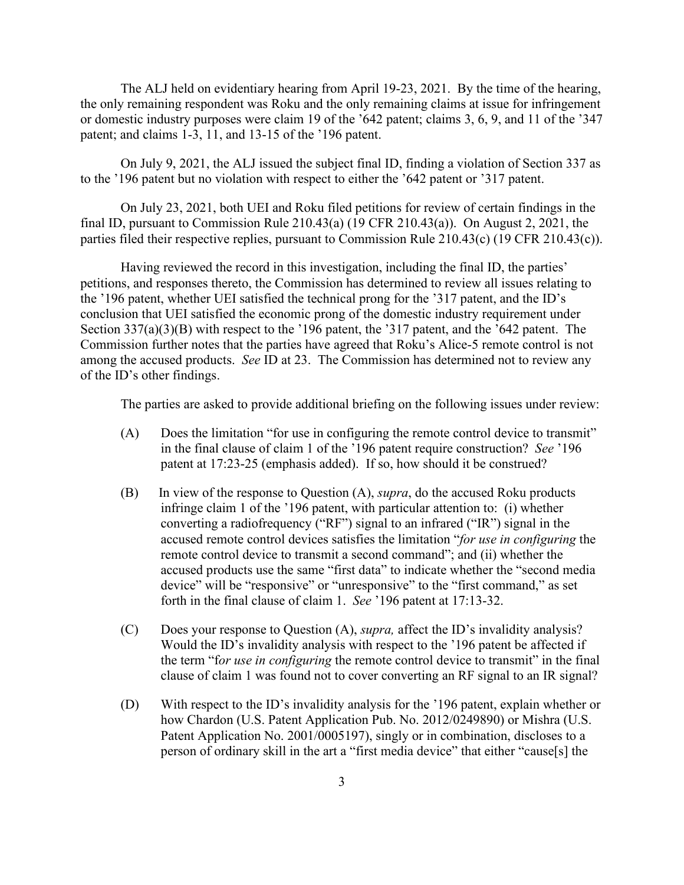The ALJ held on evidentiary hearing from April 19-23, 2021. By the time of the hearing, the only remaining respondent was Roku and the only remaining claims at issue for infringement or domestic industry purposes were claim 19 of the '642 patent; claims 3, 6, 9, and 11 of the '347 patent; and claims 1-3, 11, and 13-15 of the '196 patent.

On July 9, 2021, the ALJ issued the subject final ID, finding a violation of Section 337 as to the '196 patent but no violation with respect to either the '642 patent or '317 patent.

On July 23, 2021, both UEI and Roku filed petitions for review of certain findings in the final ID, pursuant to Commission Rule 210.43(a) (19 CFR 210.43(a)). On August 2, 2021, the parties filed their respective replies, pursuant to Commission Rule 210.43(c) (19 CFR 210.43(c)).

Having reviewed the record in this investigation, including the final ID, the parties' petitions, and responses thereto, the Commission has determined to review all issues relating to the '196 patent, whether UEI satisfied the technical prong for the '317 patent, and the ID's conclusion that UEI satisfied the economic prong of the domestic industry requirement under Section 337(a)(3)(B) with respect to the '196 patent, the '317 patent, and the '642 patent. The Commission further notes that the parties have agreed that Roku's Alice-5 remote control is not among the accused products. *See* ID at 23. The Commission has determined not to review any of the ID's other findings.

The parties are asked to provide additional briefing on the following issues under review:

- (A) Does the limitation "for use in configuring the remote control device to transmit" in the final clause of claim 1 of the '196 patent require construction? *See* '196 patent at 17:23-25 (emphasis added). If so, how should it be construed?
- (B) In view of the response to Question (A), *supra*, do the accused Roku products infringe claim 1 of the '196 patent, with particular attention to: (i) whether converting a radiofrequency ("RF") signal to an infrared ("IR") signal in the accused remote control devices satisfies the limitation "*for use in configuring* the remote control device to transmit a second command"; and (ii) whether the accused products use the same "first data" to indicate whether the "second media device" will be "responsive" or "unresponsive" to the "first command," as set forth in the final clause of claim 1. *See* '196 patent at 17:13-32.
- (C) Does your response to Question (A), *supra,* affect the ID's invalidity analysis? Would the ID's invalidity analysis with respect to the '196 patent be affected if the term "f*or use in configuring* the remote control device to transmit" in the final clause of claim 1 was found not to cover converting an RF signal to an IR signal?
- (D) With respect to the ID's invalidity analysis for the '196 patent, explain whether or how Chardon (U.S. Patent Application Pub. No. 2012/0249890) or Mishra (U.S. Patent Application No. 2001/0005197), singly or in combination, discloses to a person of ordinary skill in the art a "first media device" that either "cause[s] the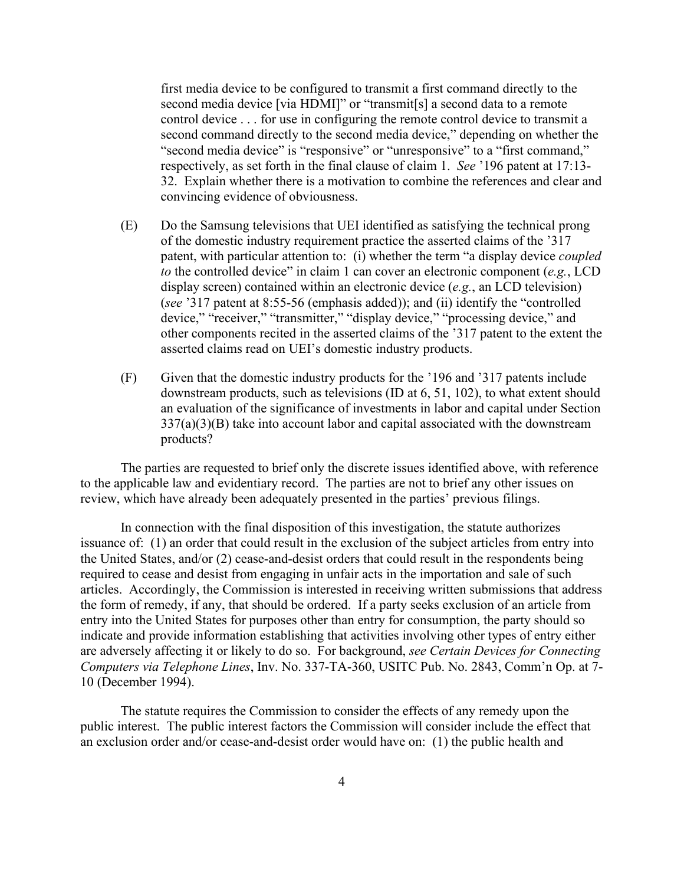first media device to be configured to transmit a first command directly to the second media device [via HDMI]" or "transmit[s] a second data to a remote control device . . . for use in configuring the remote control device to transmit a second command directly to the second media device," depending on whether the "second media device" is "responsive" or "unresponsive" to a "first command," respectively, as set forth in the final clause of claim 1. *See* '196 patent at 17:13- 32. Explain whether there is a motivation to combine the references and clear and convincing evidence of obviousness.

- (E) Do the Samsung televisions that UEI identified as satisfying the technical prong of the domestic industry requirement practice the asserted claims of the '317 patent, with particular attention to: (i) whether the term "a display device *coupled to* the controlled device" in claim 1 can cover an electronic component (*e.g.*, LCD display screen) contained within an electronic device (*e.g.*, an LCD television) (*see* '317 patent at 8:55-56 (emphasis added)); and (ii) identify the "controlled device," "receiver," "transmitter," "display device," "processing device," and other components recited in the asserted claims of the '317 patent to the extent the asserted claims read on UEI's domestic industry products.
- (F) Given that the domestic industry products for the '196 and '317 patents include downstream products, such as televisions (ID at 6, 51, 102), to what extent should an evaluation of the significance of investments in labor and capital under Section  $337(a)(3)(B)$  take into account labor and capital associated with the downstream products?

The parties are requested to brief only the discrete issues identified above, with reference to the applicable law and evidentiary record. The parties are not to brief any other issues on review, which have already been adequately presented in the parties' previous filings.

In connection with the final disposition of this investigation, the statute authorizes issuance of: (1) an order that could result in the exclusion of the subject articles from entry into the United States, and/or (2) cease-and-desist orders that could result in the respondents being required to cease and desist from engaging in unfair acts in the importation and sale of such articles. Accordingly, the Commission is interested in receiving written submissions that address the form of remedy, if any, that should be ordered. If a party seeks exclusion of an article from entry into the United States for purposes other than entry for consumption, the party should so indicate and provide information establishing that activities involving other types of entry either are adversely affecting it or likely to do so. For background, *see Certain Devices for Connecting Computers via Telephone Lines*, Inv. No. 337-TA-360, USITC Pub. No. 2843, Comm'n Op. at 7- 10 (December 1994).

The statute requires the Commission to consider the effects of any remedy upon the public interest. The public interest factors the Commission will consider include the effect that an exclusion order and/or cease-and-desist order would have on: (1) the public health and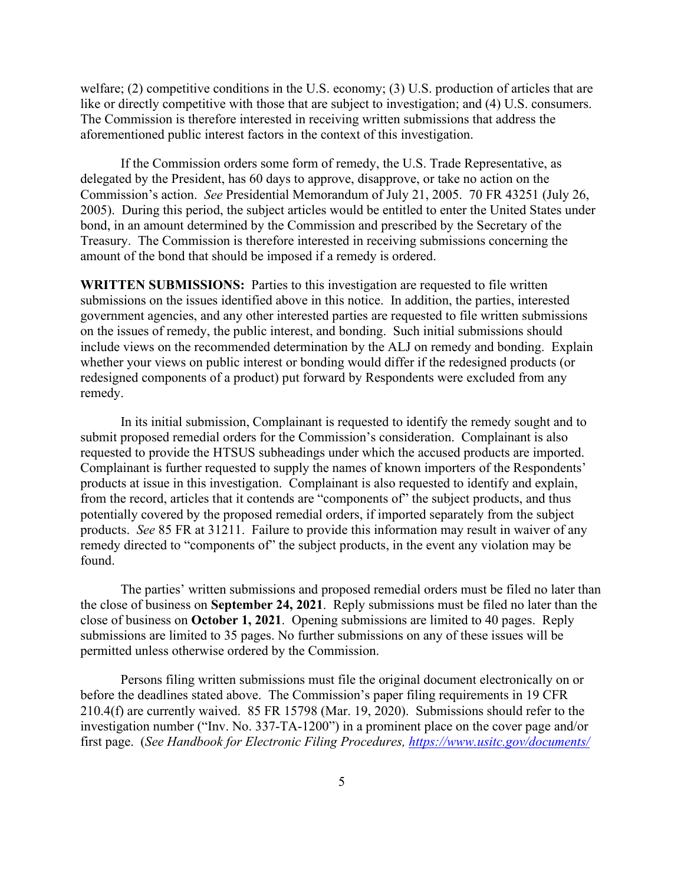welfare; (2) competitive conditions in the U.S. economy; (3) U.S. production of articles that are like or directly competitive with those that are subject to investigation; and (4) U.S. consumers. The Commission is therefore interested in receiving written submissions that address the aforementioned public interest factors in the context of this investigation.

If the Commission orders some form of remedy, the U.S. Trade Representative, as delegated by the President, has 60 days to approve, disapprove, or take no action on the Commission's action. *See* Presidential Memorandum of July 21, 2005. 70 FR 43251 (July 26, 2005). During this period, the subject articles would be entitled to enter the United States under bond, in an amount determined by the Commission and prescribed by the Secretary of the Treasury. The Commission is therefore interested in receiving submissions concerning the amount of the bond that should be imposed if a remedy is ordered.

**WRITTEN SUBMISSIONS:** Parties to this investigation are requested to file written submissions on the issues identified above in this notice. In addition, the parties, interested government agencies, and any other interested parties are requested to file written submissions on the issues of remedy, the public interest, and bonding. Such initial submissions should include views on the recommended determination by the ALJ on remedy and bonding. Explain whether your views on public interest or bonding would differ if the redesigned products (or redesigned components of a product) put forward by Respondents were excluded from any remedy.

In its initial submission, Complainant is requested to identify the remedy sought and to submit proposed remedial orders for the Commission's consideration. Complainant is also requested to provide the HTSUS subheadings under which the accused products are imported. Complainant is further requested to supply the names of known importers of the Respondents' products at issue in this investigation. Complainant is also requested to identify and explain, from the record, articles that it contends are "components of" the subject products, and thus potentially covered by the proposed remedial orders, if imported separately from the subject products. *See* 85 FR at 31211. Failure to provide this information may result in waiver of any remedy directed to "components of" the subject products, in the event any violation may be found.

The parties' written submissions and proposed remedial orders must be filed no later than the close of business on **September 24, 2021**. Reply submissions must be filed no later than the close of business on **October 1, 2021**. Opening submissions are limited to 40 pages. Reply submissions are limited to 35 pages. No further submissions on any of these issues will be permitted unless otherwise ordered by the Commission.

Persons filing written submissions must file the original document electronically on or before the deadlines stated above. The Commission's paper filing requirements in 19 CFR 210.4(f) are currently waived. 85 FR 15798 (Mar. 19, 2020). Submissions should refer to the investigation number ("Inv. No. 337-TA-1200") in a prominent place on the cover page and/or first page. (*See Handbook for Electronic Filing Procedures,<https://www.usitc.gov/documents/>*